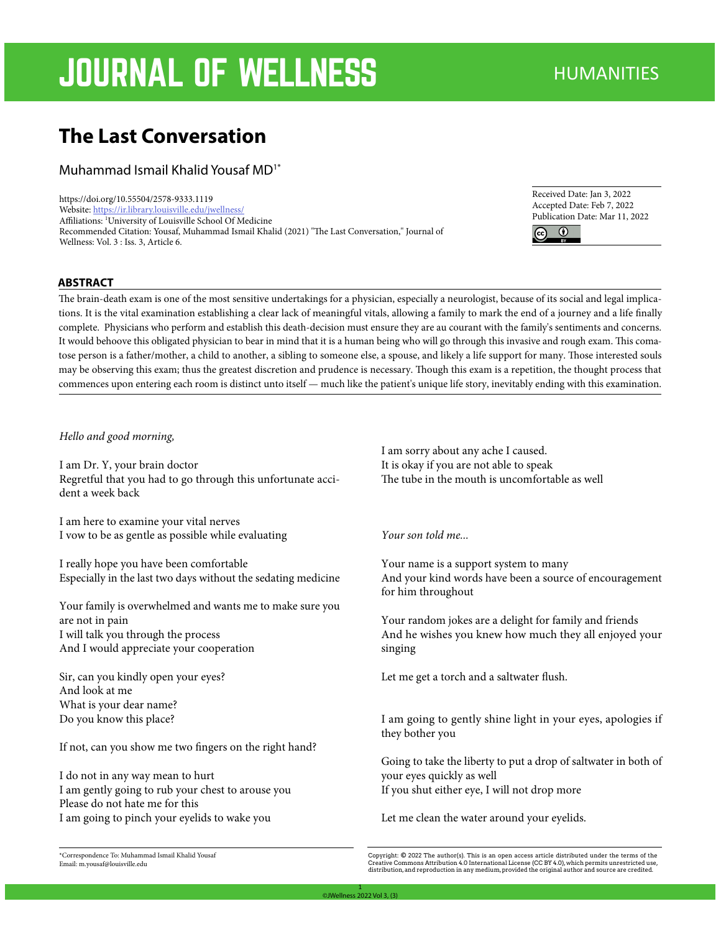# **JOURNAL OF WELLNESS** HUMANITIES

# **The Last Conversation**

Muhammad Ismail Khalid Yousaf MD1\*

https://doi.org/10.55504/2578-9333.1119 Website: https://ir.library.louisville.edu/jwellness/ Affiliations: 1 University of Louisville School Of Medicine Recommended Citation: Yousaf, Muhammad Ismail Khalid (2021) "The Last Conversation," Journal of Wellness: Vol. 3 : Iss. 3, Article 6.

Received Date: Jan 3, 2022 Accepted Date: Feb 7, 2022 Publication Date: Mar 11, 2022  $\bigcirc$ 

#### **ABSTRACT**

The brain-death exam is one of the most sensitive undertakings for a physician, especially a neurologist, because of its social and legal implications. It is the vital examination establishing a clear lack of meaningful vitals, allowing a family to mark the end of a journey and a life finally complete. Physicians who perform and establish this death-decision must ensure they are au courant with the family's sentiments and concerns. It would behoove this obligated physician to bear in mind that it is a human being who will go through this invasive and rough exam. This comatose person is a father/mother, a child to another, a sibling to someone else, a spouse, and likely a life support for many. Those interested souls may be observing this exam; thus the greatest discretion and prudence is necessary. Though this exam is a repetition, the thought process that commences upon entering each room is distinct unto itself — much like the patient's unique life story, inevitably ending with this examination.

#### *Hello and good morning,*

I am Dr. Y, your brain doctor Regretful that you had to go through this unfortunate accident a week back

I am here to examine your vital nerves I vow to be as gentle as possible while evaluating

I really hope you have been comfortable Especially in the last two days without the sedating medicine

Your family is overwhelmed and wants me to make sure you are not in pain I will talk you through the process And I would appreciate your cooperation

Sir, can you kindly open your eyes? And look at me What is your dear name? Do you know this place?

If not, can you show me two fingers on the right hand?

I do not in any way mean to hurt I am gently going to rub your chest to arouse you Please do not hate me for this I am going to pinch your eyelids to wake you

I am sorry about any ache I caused. It is okay if you are not able to speak The tube in the mouth is uncomfortable as well

### *Your son told me...*

Your name is a support system to many And your kind words have been a source of encouragement for him throughout

Your random jokes are a delight for family and friends And he wishes you knew how much they all enjoyed your singing

Let me get a torch and a saltwater flush.

I am going to gently shine light in your eyes, apologies if they bother you

Going to take the liberty to put a drop of saltwater in both of your eyes quickly as well If you shut either eye, I will not drop more

Let me clean the water around your eyelids.

\*Correspondence To: Muhammad Ismail Khalid Yousaf Email: m.yousaf@louisville.edu

Copyright: © 2022 The author(s). This is an open access article distributed under the terms of the<br>Creative Commons Attribution 4.0 International License (CC BY 4.0), which permits unrestricted use,<br>distribution,and repro